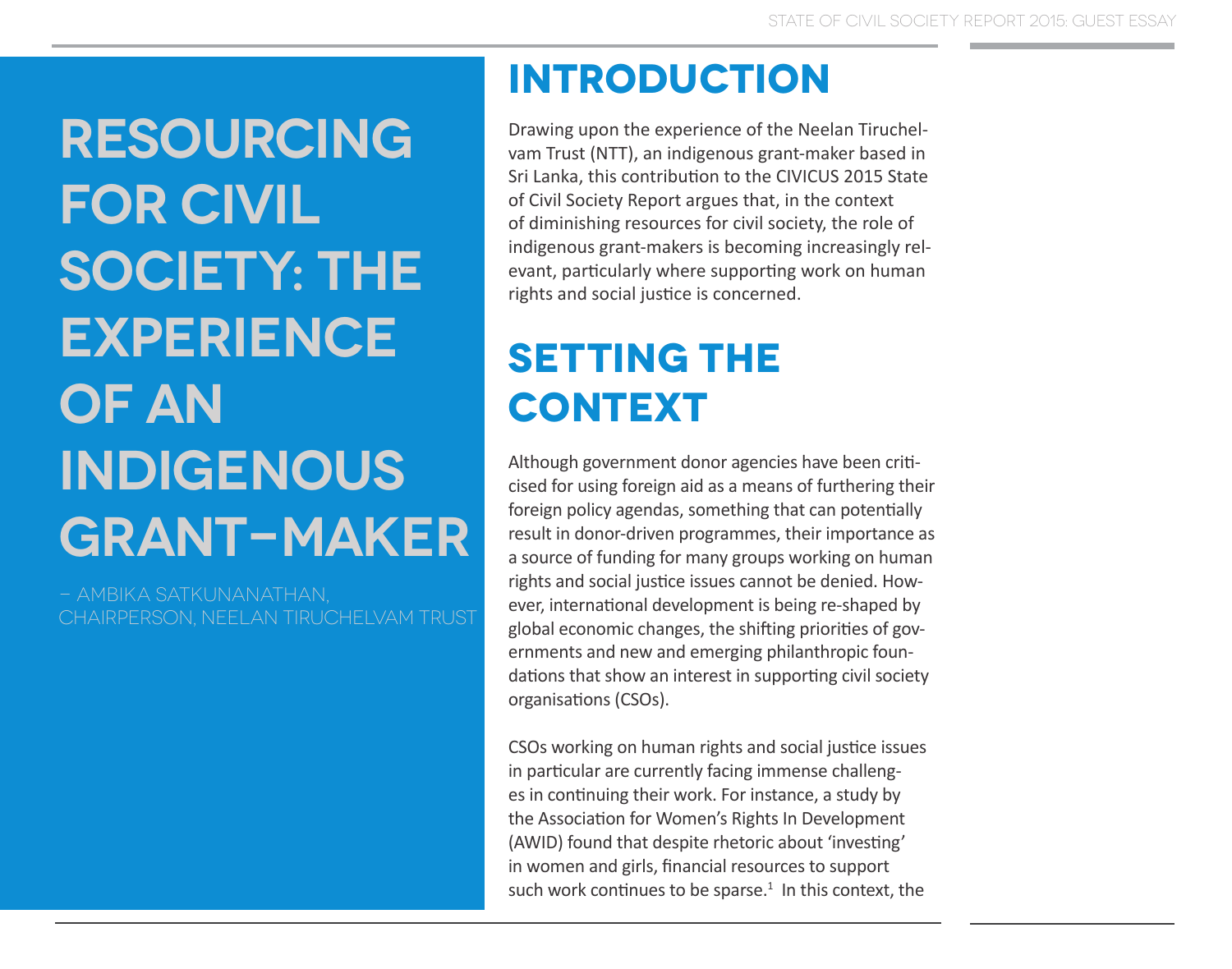**Resourcing for Civil**  SOCIETY: THE **Experience of an Indigenous Grant-maker**

- Ambika Satkunanathan, Chairperson, Neelan Tiruchelvam Trust

## **introduction**

Drawing upon the experience of the Neelan Tiruchelvam Trust (NTT), an indigenous grant-maker based in Sri Lanka, this contribution to the CIVICUS 2015 State of Civil Society Report argues that, in the context of diminishing resources for civil society, the role of indigenous grant-makers is becoming increasingly relevant, particularly where supporting work on human rights and social justice is concerned.

## **Setting the context**

Although government donor agencies have been criticised for using foreign aid as a means of furthering their foreign policy agendas, something that can potentially result in donor-driven programmes, their importance as a source of funding for many groups working on human rights and social justice issues cannot be denied. However, international development is being re-shaped by global economic changes, the shifting priorities of governments and new and emerging philanthropic foundations that show an interest in supporting civil society organisations (CSOs).

CSOs working on human rights and social justice issues in particular are currently facing immense challenges in continuing their work. For instance, a study by the Association for Women's Rights In Development (AWID) found that despite rhetoric about 'investing' in women and girls, financial resources to support such work continues to be sparse. $1$  In this context, the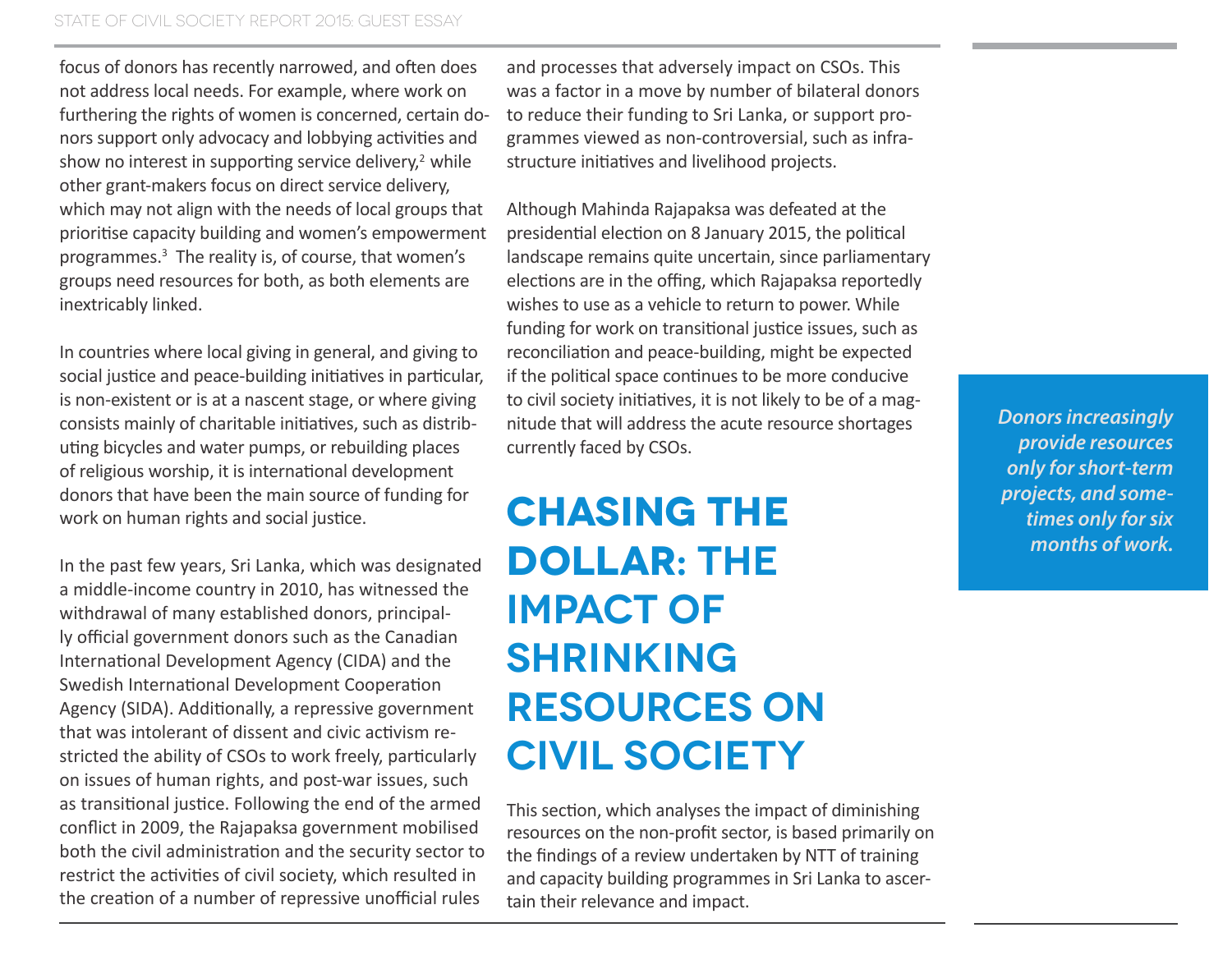focus of donors has recently narrowed, and often does not address local needs. For example, where work on furthering the rights of women is concerned, certain donors support only advocacy and lobbying activities and show no interest in supporting service delivery, $2$  while other grant-makers focus on direct service delivery, which may not align with the needs of local groups that prioritise capacity building and women's empowerment programmes.<sup>3</sup> The reality is, of course, that women's groups need resources for both, as both elements are inextricably linked.

In countries where local giving in general, and giving to social justice and peace-building initiatives in particular, is non-existent or is at a nascent stage, or where giving consists mainly of charitable initiatives, such as distributing bicycles and water pumps, or rebuilding places of religious worship, it is international development donors that have been the main source of funding for work on human rights and social justice.

In the past few years, Sri Lanka, which was designated a middle-income country in 2010, has witnessed the withdrawal of many established donors, principally official government donors such as the Canadian International Development Agency (CIDA) and the Swedish International Development Cooperation Agency (SIDA). Additionally, a repressive government that was intolerant of dissent and civic activism restricted the ability of CSOs to work freely, particularly on issues of human rights, and post-war issues, such as transitional justice. Following the end of the armed conflict in 2009, the Rajapaksa government mobilised both the civil administration and the security sector to restrict the activities of civil society, which resulted in the creation of a number of repressive unofficial rules

and processes that adversely impact on CSOs. This was a factor in a move by number of bilateral donors to reduce their funding to Sri Lanka, or support programmes viewed as non-controversial, such as infrastructure initiatives and livelihood projects.

Although Mahinda Rajapaksa was defeated at the presidential election on 8 January 2015, the political landscape remains quite uncertain, since parliamentary elections are in the offing, which Rajapaksa reportedly wishes to use as a vehicle to return to power. While funding for work on transitional justice issues, such as reconciliation and peace-building, might be expected if the political space continues to be more conducive to civil society initiatives, it is not likely to be of a magnitude that will address the acute resource shortages currently faced by CSOs.

**Chasing the dollar: the impact of shrinking resources on civil society**

This section, which analyses the impact of diminishing resources on the non-profit sector, is based primarily on the findings of a review undertaken by NTT of training and capacity building programmes in Sri Lanka to ascertain their relevance and impact.

*Donors increasingly provide resources only for short-term projects, and sometimes only for six months of work.*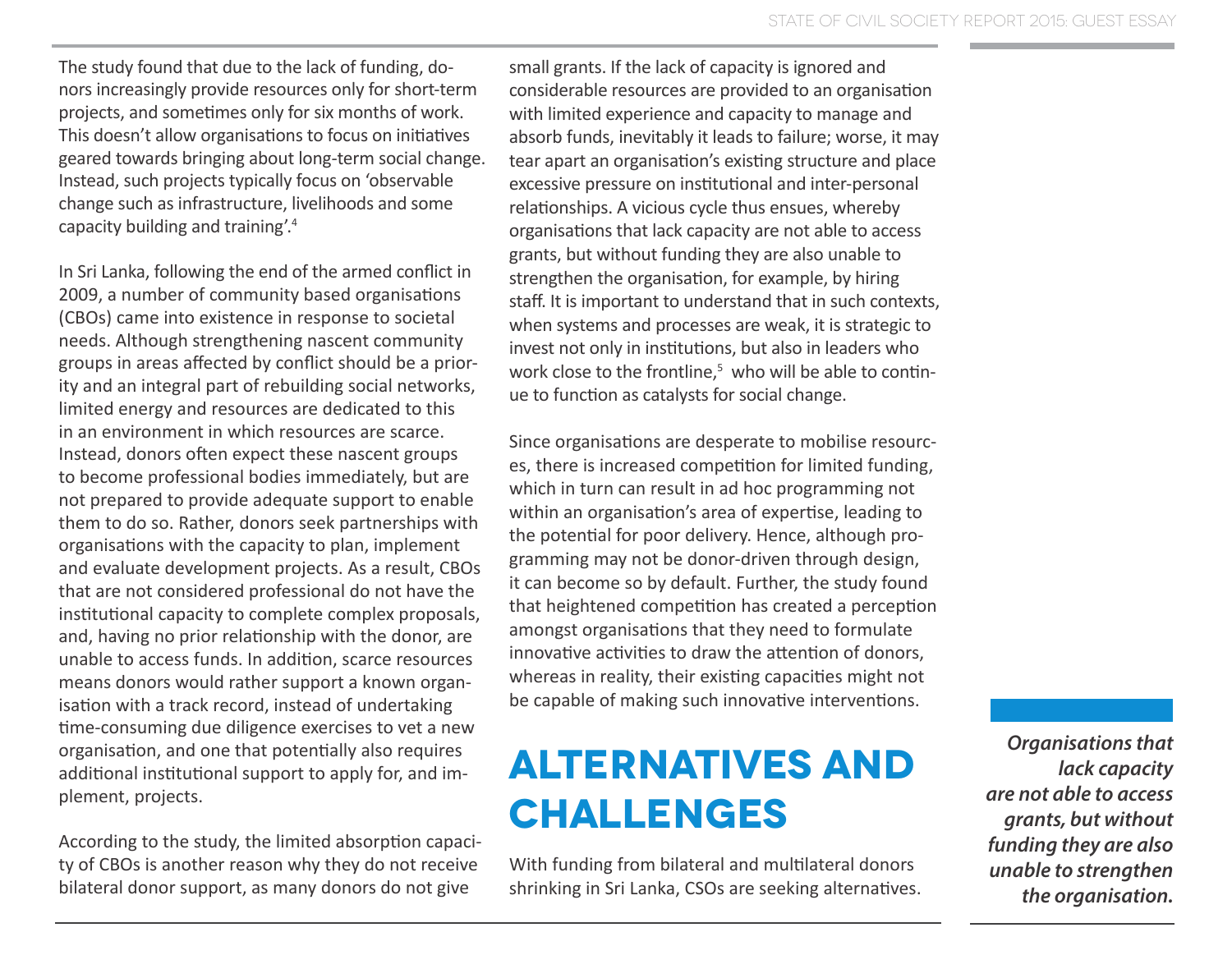The study found that due to the lack of funding, donors increasingly provide resources only for short-term projects, and sometimes only for six months of work. This doesn't allow organisations to focus on initiatives geared towards bringing about long-term social change. Instead, such projects typically focus on 'observable change such as infrastructure, livelihoods and some capacity building and training'.<sup>4</sup>

In Sri Lanka, following the end of the armed conflict in 2009, a number of community based organisations (CBOs) came into existence in response to societal needs. Although strengthening nascent community groups in areas affected by conflict should be a priority and an integral part of rebuilding social networks, limited energy and resources are dedicated to this in an environment in which resources are scarce. Instead, donors often expect these nascent groups to become professional bodies immediately, but are not prepared to provide adequate support to enable them to do so. Rather, donors seek partnerships with organisations with the capacity to plan, implement and evaluate development projects. As a result, CBOs that are not considered professional do not have the institutional capacity to complete complex proposals, and, having no prior relationship with the donor, are unable to access funds. In addition, scarce resources means donors would rather support a known organisation with a track record, instead of undertaking time-consuming due diligence exercises to vet a new organisation, and one that potentially also requires additional institutional support to apply for, and implement, projects.

According to the study, the limited absorption capacity of CBOs is another reason why they do not receive bilateral donor support, as many donors do not give

small grants. If the lack of capacity is ignored and considerable resources are provided to an organisation with limited experience and capacity to manage and absorb funds, inevitably it leads to failure; worse, it may tear apart an organisation's existing structure and place excessive pressure on institutional and inter-personal relationships. A vicious cycle thus ensues, whereby organisations that lack capacity are not able to access grants, but without funding they are also unable to strengthen the organisation, for example, by hiring staff. It is important to understand that in such contexts, when systems and processes are weak, it is strategic to invest not only in institutions, but also in leaders who work close to the frontline, $5\,$  who will be able to continue to function as catalysts for social change.

Since organisations are desperate to mobilise resources, there is increased competition for limited funding, which in turn can result in ad hoc programming not within an organisation's area of expertise, leading to the potential for poor delivery. Hence, although programming may not be donor-driven through design, it can become so by default. Further, the study found that heightened competition has created a perception amongst organisations that they need to formulate innovative activities to draw the attention of donors, whereas in reality, their existing capacities might not be capable of making such innovative interventions.

## **Alternatives and challenges**

With funding from bilateral and multilateral donors shrinking in Sri Lanka, CSOs are seeking alternatives.

*Organisations that lack capacity are not able to access grants, but without funding they are also unable to strengthen the organisation.*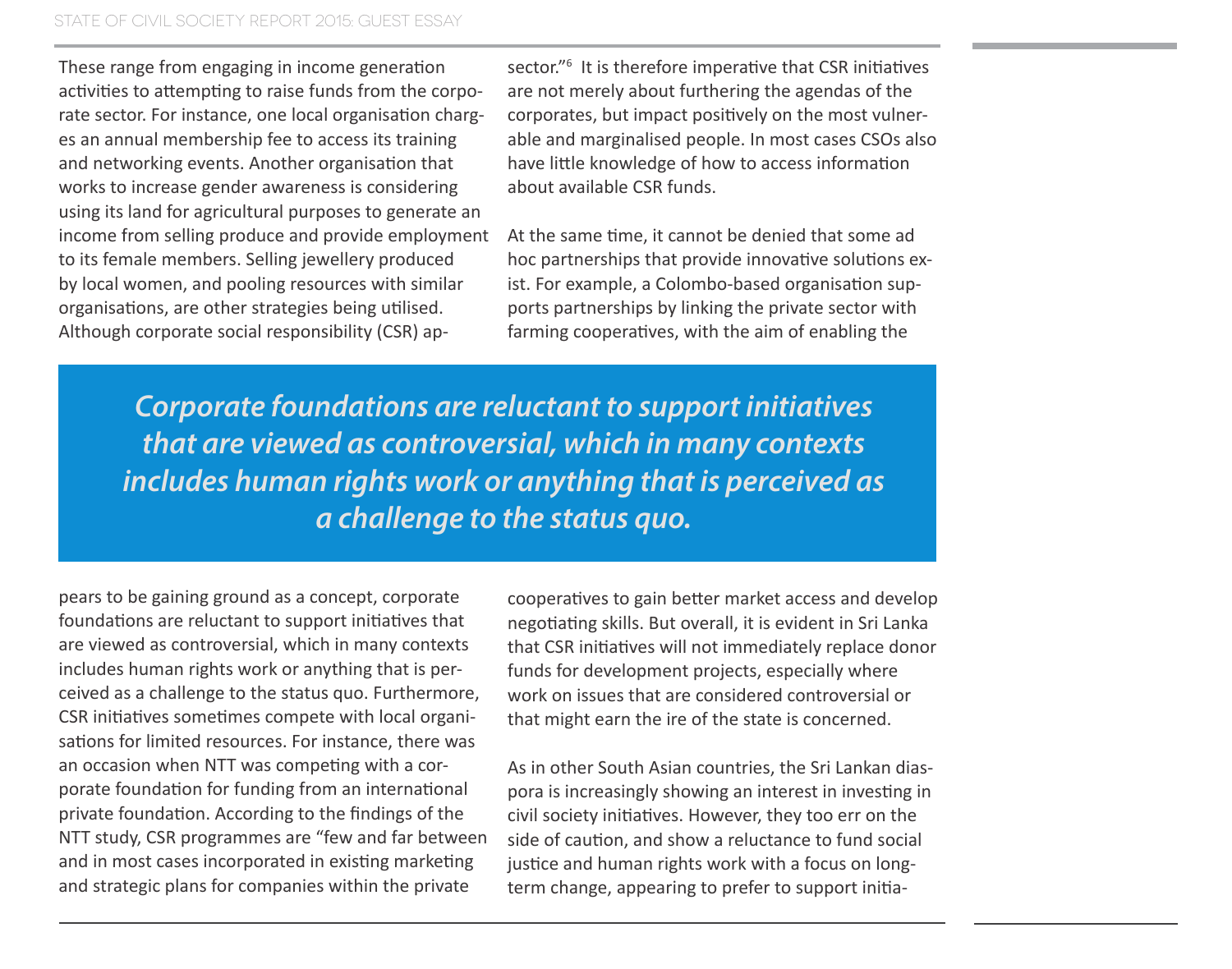These range from engaging in income generation activities to attempting to raise funds from the corporate sector. For instance, one local organisation charges an annual membership fee to access its training and networking events. Another organisation that works to increase gender awareness is considering using its land for agricultural purposes to generate an income from selling produce and provide employment to its female members. Selling jewellery produced by local women, and pooling resources with similar organisations, are other strategies being utilised. Although corporate social responsibility (CSR) ap-

sector."<sup>6</sup> It is therefore imperative that CSR initiatives are not merely about furthering the agendas of the corporates, but impact positively on the most vulnerable and marginalised people. In most cases CSOs also have little knowledge of how to access information about available CSR funds.

At the same time, it cannot be denied that some ad hoc partnerships that provide innovative solutions exist. For example, a Colombo-based organisation supports partnerships by linking the private sector with farming cooperatives, with the aim of enabling the

*Corporate foundations are reluctant to support initiatives that are viewed as controversial, which in many contexts includes human rights work or anything that is perceived as a challenge to the status quo.*

pears to be gaining ground as a concept, corporate foundations are reluctant to support initiatives that are viewed as controversial, which in many contexts includes human rights work or anything that is perceived as a challenge to the status quo. Furthermore, CSR initiatives sometimes compete with local organisations for limited resources. For instance, there was an occasion when NTT was competing with a corporate foundation for funding from an international private foundation. According to the findings of the NTT study, CSR programmes are "few and far between and in most cases incorporated in existing marketing and strategic plans for companies within the private

cooperatives to gain better market access and develop negotiating skills. But overall, it is evident in Sri Lanka that CSR initiatives will not immediately replace donor funds for development projects, especially where work on issues that are considered controversial or that might earn the ire of the state is concerned.

As in other South Asian countries, the Sri Lankan diaspora is increasingly showing an interest in investing in civil society initiatives. However, they too err on the side of caution, and show a reluctance to fund social justice and human rights work with a focus on longterm change, appearing to prefer to support initia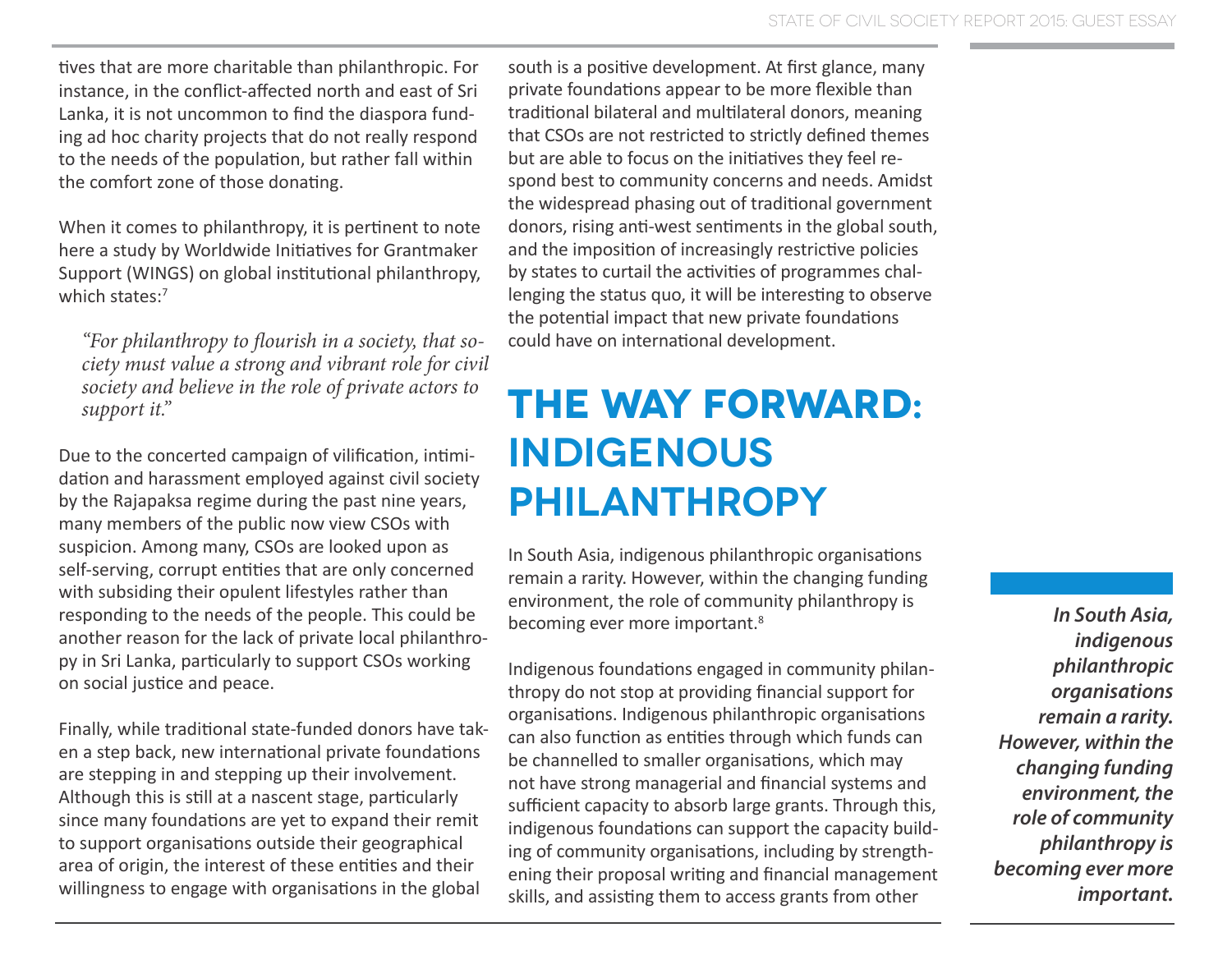tives that are more charitable than philanthropic. For instance, in the conflict-affected north and east of Sri Lanka, it is not uncommon to find the diaspora funding ad hoc charity projects that do not really respond to the needs of the population, but rather fall within the comfort zone of those donating.

When it comes to philanthropy, it is pertinent to note here a study by Worldwide Initiatives for Grantmaker Support (WINGS) on global institutional philanthropy, which states:<sup>7</sup>

*"For philanthropy to flourish in a society, that society must value a strong and vibrant role for civil society and believe in the role of private actors to support it."*

Due to the concerted campaign of vilification, intimidation and harassment employed against civil society by the Rajapaksa regime during the past nine years, many members of the public now view CSOs with suspicion. Among many, CSOs are looked upon as self-serving, corrupt entities that are only concerned with subsiding their opulent lifestyles rather than responding to the needs of the people. This could be another reason for the lack of private local philanthropy in Sri Lanka, particularly to support CSOs working on social justice and peace.

Finally, while traditional state-funded donors have taken a step back, new international private foundations are stepping in and stepping up their involvement. Although this is still at a nascent stage, particularly since many foundations are yet to expand their remit to support organisations outside their geographical area of origin, the interest of these entities and their willingness to engage with organisations in the global

south is a positive development. At first glance, many private foundations appear to be more flexible than traditional bilateral and multilateral donors, meaning that CSOs are not restricted to strictly defined themes but are able to focus on the initiatives they feel respond best to community concerns and needs. Amidst the widespread phasing out of traditional government donors, rising anti-west sentiments in the global south, and the imposition of increasingly restrictive policies by states to curtail the activities of programmes challenging the status quo, it will be interesting to observe the potential impact that new private foundations could have on international development.

## **The way forward: indigenous philanthropy**

In South Asia, indigenous philanthropic organisations remain a rarity. However, within the changing funding environment, the role of community philanthropy is becoming ever more important.<sup>8</sup>

Indigenous foundations engaged in community philanthropy do not stop at providing financial support for organisations. Indigenous philanthropic organisations can also function as entities through which funds can be channelled to smaller organisations, which may not have strong managerial and financial systems and sufficient capacity to absorb large grants. Through this, indigenous foundations can support the capacity building of community organisations, including by strengthening their proposal writing and financial management skills, and assisting them to access grants from other

*In South Asia, indigenous philanthropic organisations remain a rarity. However, within the changing funding environment, the role of community philanthropy is becoming ever more important.*